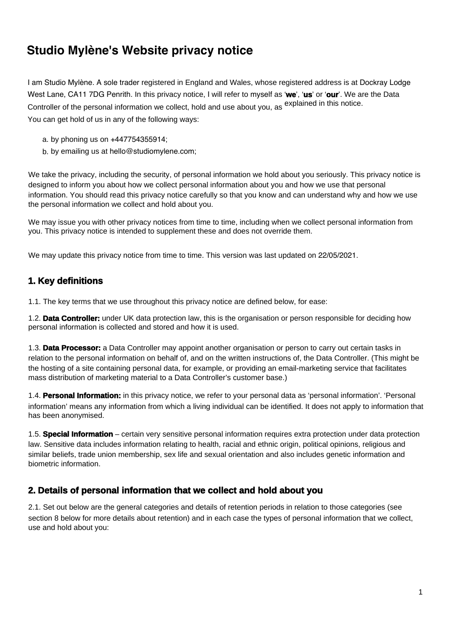# **Studio Mylène's Website privacy notice**

I am Studio Mylène. A sole trader registered in England and Wales, whose registered address is at Dockray Lodge West Lane, CA11 7DG Penrith. In this privacy notice, I will refer to myself as '**we**', '**us**' or '**our**'. We are the Data Controller of the personal information we collect, hold and use about you, as explained in this notice. You can get hold of us in any of the following ways:

- a. by phoning us on +447754355914;
- b. by emailing us at hello@studiomylene.com;

We take the privacy, including the security, of personal information we hold about you seriously. This privacy notice is designed to inform you about how we collect personal information about you and how we use that personal information. You should read this privacy notice carefully so that you know and can understand why and how we use the personal information we collect and hold about you.

We may issue you with other privacy notices from time to time, including when we collect personal information from you. This privacy notice is intended to supplement these and does not override them.

We may update this privacy notice from time to time. This version was last updated on 22/05/2021.

# **1. Key definitions**

1.1. The key terms that we use throughout this privacy notice are defined below, for ease:

1.2. **Data Controller:** under UK data protection law, this is the organisation or person responsible for deciding how personal information is collected and stored and how it is used.

1.3. **Data Processor:** a Data Controller may appoint another organisation or person to carry out certain tasks in relation to the personal information on behalf of, and on the written instructions of, the Data Controller. (This might be the hosting of a site containing personal data, for example, or providing an email-marketing service that facilitates mass distribution of marketing material to a Data Controller's customer base.)

1.4. **Personal Information:** in this privacy notice, we refer to your personal data as 'personal information'. 'Personal information' means any information from which a living individual can be identified. It does not apply to information that has been anonymised.

1.5. **Special Information** – certain very sensitive personal information requires extra protection under data protection law. Sensitive data includes information relating to health, racial and ethnic origin, political opinions, religious and similar beliefs, trade union membership, sex life and sexual orientation and also includes genetic information and biometric information.

### **2. Details of personal information that we collect and hold about you**

2.1. Set out below are the general categories and details of retention periods in relation to those categories (see section 8 below for more details about retention) and in each case the types of personal information that we collect, use and hold about you: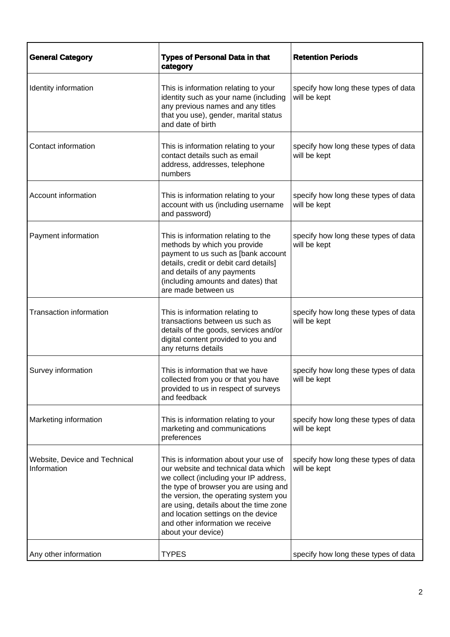| <b>General Category</b>                      | <b>Types of Personal Data in that</b><br>category                                                                                                                                                                                                                                                                                                    | <b>Retention Periods</b>                             |
|----------------------------------------------|------------------------------------------------------------------------------------------------------------------------------------------------------------------------------------------------------------------------------------------------------------------------------------------------------------------------------------------------------|------------------------------------------------------|
| Identity information                         | This is information relating to your<br>identity such as your name (including<br>any previous names and any titles<br>that you use), gender, marital status<br>and date of birth                                                                                                                                                                     | specify how long these types of data<br>will be kept |
| Contact information                          | This is information relating to your<br>contact details such as email<br>address, addresses, telephone<br>numbers                                                                                                                                                                                                                                    | specify how long these types of data<br>will be kept |
| Account information                          | This is information relating to your<br>account with us (including username<br>and password)                                                                                                                                                                                                                                                         | specify how long these types of data<br>will be kept |
| Payment information                          | This is information relating to the<br>methods by which you provide<br>payment to us such as [bank account<br>details, credit or debit card details]<br>and details of any payments<br>(including amounts and dates) that<br>are made between us                                                                                                     | specify how long these types of data<br>will be kept |
| <b>Transaction information</b>               | This is information relating to<br>transactions between us such as<br>details of the goods, services and/or<br>digital content provided to you and<br>any returns details                                                                                                                                                                            | specify how long these types of data<br>will be kept |
| Survey information                           | This is information that we have<br>collected from you or that you have<br>provided to us in respect of surveys<br>and feedback                                                                                                                                                                                                                      | specify how long these types of data<br>will be kept |
| Marketing information                        | This is information relating to your<br>marketing and communications<br>preferences                                                                                                                                                                                                                                                                  | specify how long these types of data<br>will be kept |
| Website, Device and Technical<br>Information | This is information about your use of<br>our website and technical data which<br>we collect (including your IP address,<br>the type of browser you are using and<br>the version, the operating system you<br>are using, details about the time zone<br>and location settings on the device<br>and other information we receive<br>about your device) | specify how long these types of data<br>will be kept |
| Any other information                        | <b>TYPES</b>                                                                                                                                                                                                                                                                                                                                         | specify how long these types of data                 |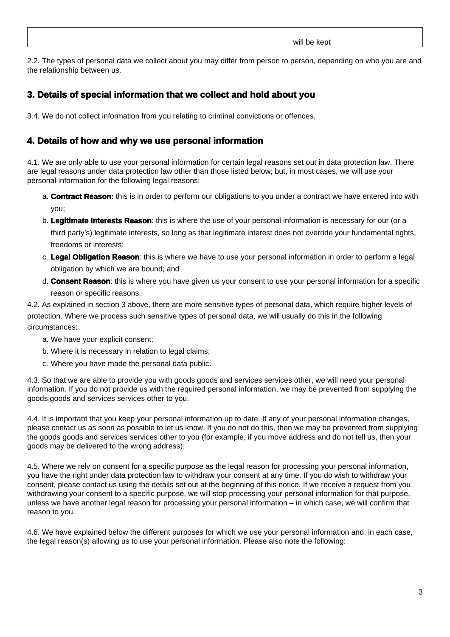|  | .<br>AMI I |
|--|------------|

2.2. The types of personal data we collect about you may differ from person to person, depending on who you are and the relationship between us.

# **3. Details of special information that we collect and hold about you**

3.4. We do not collect information from you relating to criminal convictions or offences.

### **4. Details of how and why we use personal information**

4.1. We are only able to use your personal information for certain legal reasons set out in data protection law. There are legal reasons under data protection law other than those listed below; but, in most cases, we will use your personal information for the following legal reasons:

- a. **Contract Reason:** this is in order to perform our obligations to you under a contract we have entered into with you;
- b. **Legitimate Interests Reason**: this is where the use of your personal information is necessary for our (or a third party's) legitimate interests, so long as that legitimate interest does not override your fundamental rights, freedoms or interests;
- c. **Legal Obligation Reason**: this is where we have to use your personal information in order to perform a legal obligation by which we are bound; and
- d. **Consent Reason**: this is where you have given us your consent to use your personal information for a specific reason or specific reasons.

4.2. As explained in section 3 above, there are more sensitive types of personal data, which require higher levels of protection. Where we process such sensitive types of personal data, we will usually do this in the following circumstances:

- a. We have your explicit consent;
- b. Where it is necessary in relation to legal claims;
- c. Where you have made the personal data public.

4.3. So that we are able to provide you with goods goods and services services other, we will need your personal information. If you do not provide us with the required personal information, we may be prevented from supplying the goods goods and services services other to you.

4.4. It is important that you keep your personal information up to date. If any of your personal information changes, please contact us as soon as possible to let us know. If you do not do this, then we may be prevented from supplying the goods goods and services services other to you (for example, if you move address and do not tell us, then your goods may be delivered to the wrong address).

4.5. Where we rely on consent for a specific purpose as the legal reason for processing your personal information, you have the right under data protection law to withdraw your consent at any time. If you do wish to withdraw your consent, please contact us using the details set out at the beginning of this notice. If we receive a request from you withdrawing your consent to a specific purpose, we will stop processing your personal information for that purpose, unless we have another legal reason for processing your personal information – in which case, we will confirm that reason to you.

4.6. We have explained below the different purposes for which we use your personal information and, in each case, the legal reason(s) allowing us to use your personal information. Please also note the following: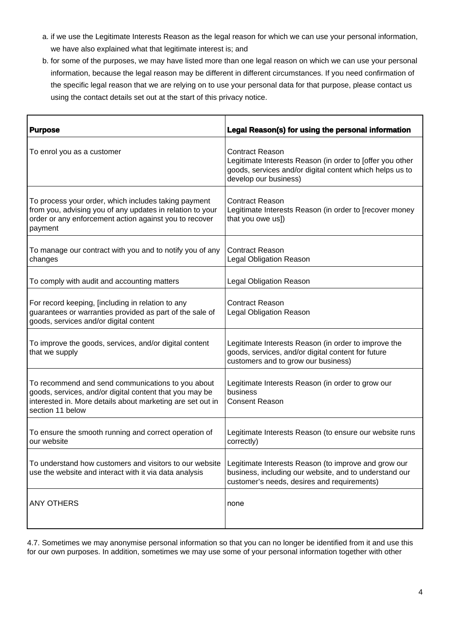- a. if we use the Legitimate Interests Reason as the legal reason for which we can use your personal information, we have also explained what that legitimate interest is; and
- b. for some of the purposes, we may have listed more than one legal reason on which we can use your personal information, because the legal reason may be different in different circumstances. If you need confirmation of the specific legal reason that we are relying on to use your personal data for that purpose, please contact us using the contact details set out at the start of this privacy notice.

| <b>Purpose</b>                                                                                                                                                                                 | Legal Reason(s) for using the personal information                                                                                                                       |
|------------------------------------------------------------------------------------------------------------------------------------------------------------------------------------------------|--------------------------------------------------------------------------------------------------------------------------------------------------------------------------|
| To enrol you as a customer                                                                                                                                                                     | <b>Contract Reason</b><br>Legitimate Interests Reason (in order to [offer you other<br>goods, services and/or digital content which helps us to<br>develop our business) |
| To process your order, which includes taking payment<br>from you, advising you of any updates in relation to your<br>order or any enforcement action against you to recover<br>payment         | <b>Contract Reason</b><br>Legitimate Interests Reason (in order to [recover money<br>that you owe us])                                                                   |
| To manage our contract with you and to notify you of any<br>changes                                                                                                                            | <b>Contract Reason</b><br><b>Legal Obligation Reason</b>                                                                                                                 |
| To comply with audit and accounting matters                                                                                                                                                    | <b>Legal Obligation Reason</b>                                                                                                                                           |
| For record keeping, [including in relation to any<br>guarantees or warranties provided as part of the sale of<br>goods, services and/or digital content                                        | <b>Contract Reason</b><br><b>Legal Obligation Reason</b>                                                                                                                 |
| To improve the goods, services, and/or digital content<br>that we supply                                                                                                                       | Legitimate Interests Reason (in order to improve the<br>goods, services, and/or digital content for future<br>customers and to grow our business)                        |
| To recommend and send communications to you about<br>goods, services, and/or digital content that you may be<br>interested in. More details about marketing are set out in<br>section 11 below | Legitimate Interests Reason (in order to grow our<br>business<br><b>Consent Reason</b>                                                                                   |
| To ensure the smooth running and correct operation of<br>our website                                                                                                                           | Legitimate Interests Reason (to ensure our website runs<br>correctly)                                                                                                    |
| To understand how customers and visitors to our website<br>use the website and interact with it via data analysis                                                                              | Legitimate Interests Reason (to improve and grow our<br>business, including our website, and to understand our<br>customer's needs, desires and requirements)            |
| <b>ANY OTHERS</b>                                                                                                                                                                              | none                                                                                                                                                                     |

4.7. Sometimes we may anonymise personal information so that you can no longer be identified from it and use this for our own purposes. In addition, sometimes we may use some of your personal information together with other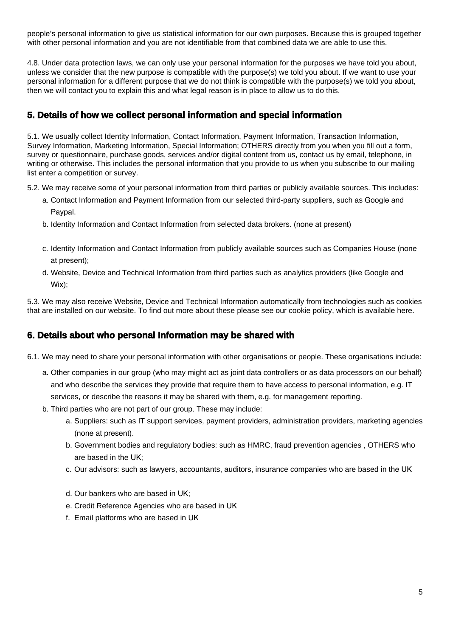people's personal information to give us statistical information for our own purposes. Because this is grouped together with other personal information and you are not identifiable from that combined data we are able to use this.

4.8. Under data protection laws, we can only use your personal information for the purposes we have told you about, unless we consider that the new purpose is compatible with the purpose(s) we told you about. If we want to use your personal information for a different purpose that we do not think is compatible with the purpose(s) we told you about, then we will contact you to explain this and what legal reason is in place to allow us to do this.

### **5. Details of how we collect personal information and special information**

5.1. We usually collect Identity Information, Contact Information, Payment Information, Transaction Information, Survey Information, Marketing Information, Special Information; OTHERS directly from you when you fill out a form, survey or questionnaire, purchase goods, services and/or digital content from us, contact us by email, telephone, in writing or otherwise. This includes the personal information that you provide to us when you subscribe to our mailing list enter a competition or survey.

- 5.2. We may receive some of your personal information from third parties or publicly available sources. This includes:
	- a. Contact Information and Payment Information from our selected third-party suppliers, such as Google and Paypal.
	- b. Identity Information and Contact Information from selected data brokers. (none at present)
	- c. Identity Information and Contact Information from publicly available sources such as Companies House (none at present);
	- d. Website, Device and Technical Information from third parties such as analytics providers (like Google and Wix);

5.3. We may also receive Website, Device and Technical Information automatically from technologies such as cookies that are installed on our website. To find out more about these please see our cookie policy, which is available here.

# **6. Details about who personal Information may be shared with**

- 6.1. We may need to share your personal information with other organisations or people. These organisations include:
	- a. Other companies in our group (who may might act as joint data controllers or as data processors on our behalf) and who describe the services they provide that require them to have access to personal information, e.g. IT services, or describe the reasons it may be shared with them, e.g. for management reporting.
	- b. Third parties who are not part of our group. These may include:
		- a. Suppliers: such as IT support services, payment providers, administration providers, marketing agencies (none at present).
		- b. Government bodies and regulatory bodies: such as HMRC, fraud prevention agencies , OTHERS who are based in the UK;
		- c. Our advisors: such as lawyers, accountants, auditors, insurance companies who are based in the UK
		- d. Our bankers who are based in UK;
		- e. Credit Reference Agencies who are based in UK
		- f. Email platforms who are based in UK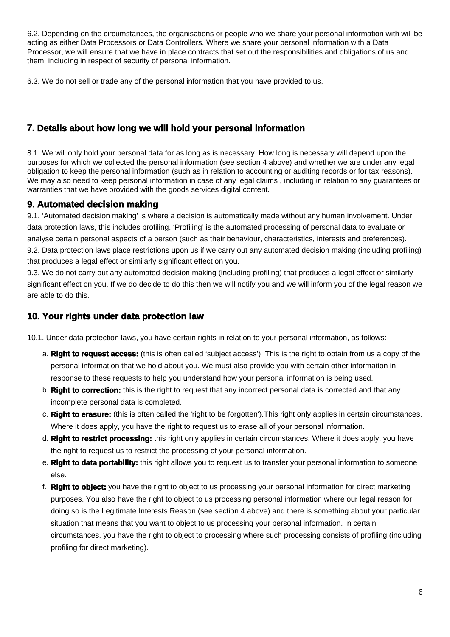6.2. Depending on the circumstances, the organisations or people who we share your personal information with will be acting as either Data Processors or Data Controllers. Where we share your personal information with a Data Processor, we will ensure that we have in place contracts that set out the responsibilities and obligations of us and them, including in respect of security of personal information.

6.3. We do not sell or trade any of the personal information that you have provided to us.

### **7. Details about how long we will hold your personal information**

8.1. We will only hold your personal data for as long as is necessary. How long is necessary will depend upon the purposes for which we collected the personal information (see section 4 above) and whether we are under any legal obligation to keep the personal information (such as in relation to accounting or auditing records or for tax reasons). We may also need to keep personal information in case of any legal claims, including in relation to any quarantees or warranties that we have provided with the goods services digital content.

### **9. Automated decision making**

9.1. 'Automated decision making' is where a decision is automatically made without any human involvement. Under data protection laws, this includes profiling. 'Profiling' is the automated processing of personal data to evaluate or analyse certain personal aspects of a person (such as their behaviour, characteristics, interests and preferences). 9.2. Data protection laws place restrictions upon us if we carry out any automated decision making (including profiling) that produces a legal effect or similarly significant effect on you.

9.3. We do not carry out any automated decision making (including profiling) that produces a legal effect or similarly significant effect on you. If we do decide to do this then we will notify you and we will inform you of the legal reason we are able to do this.

#### **10. Your rights under data protection law**

10.1. Under data protection laws, you have certain rights in relation to your personal information, as follows:

- a. **Right to request access:** (this is often called 'subject access'). This is the right to obtain from us a copy of the personal information that we hold about you. We must also provide you with certain other information in response to these requests to help you understand how your personal information is being used.
- b. **Right to correction:** this is the right to request that any incorrect personal data is corrected and that any incomplete personal data is completed.
- c. **Right to erasure:** (this is often called the 'right to be forgotten').This right only applies in certain circumstances. Where it does apply, you have the right to request us to erase all of your personal information.
- d. **Right to restrict processing:** this right only applies in certain circumstances. Where it does apply, you have the right to request us to restrict the processing of your personal information.
- e. **Right to data portability:** this right allows you to request us to transfer your personal information to someone else.
- f. **Right to object:** you have the right to object to us processing your personal information for direct marketing purposes. You also have the right to object to us processing personal information where our legal reason for doing so is the Legitimate Interests Reason (see section 4 above) and there is something about your particular situation that means that you want to object to us processing your personal information. In certain circumstances, you have the right to object to processing where such processing consists of profiling (including profiling for direct marketing).